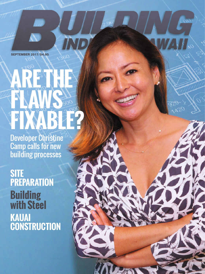**SEPTEMBER 2017/\$4.95**

 $\overline{\mathbf{v}}$ 

# **ARE THE FLAWS FIXABLE?**

**IND** 

Developer Christine Camp calls for new building processes

**SITE PREPARATION Building with Steel KAUAI CONSTRUCTION**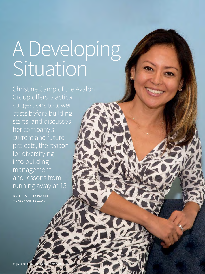## A Developing Situation

Christine Camp of the Avalon Group offers practical suggestions to lower costs before building starts, and discusses her company's current and future projects, the reason for diversifying into building management and lessons from running away at 15

**BY DON CHAPMAN** PHOTOS BY NATHALIE WALKER

**22 | BUILDING INDUSTRY HAW**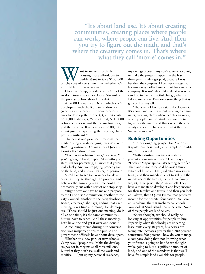**"It's about land use. It's about creating communities, creating places where people can work, where people can live. And then you try to figure out the math, and that's where the creativity comes in. That's where what they call 'moxie' comes in."**

Want to make affordable<br>
housing more affordable to<br>
off the cost of every new unit, whether it's housing more affordable to build? Want to take \$100,000 affordable or market-value?

Christine Camp, president and CEO of the Avalon Group, has a novel idea: Streamline the process before shovel hits dirt.

At 7000 Hawaii Kai Drive, which she's developing with the Korean landowner (who was unsuccessful in four previous tries to develop the property), a unit costs \$580,000, she says, "and of that, \$118,000 is for the process, not the permitting fees, just the process. If we can save \$100,000 a unit just by expediting the process, that's pretty significant."

That's just one practical proposal she made during a wide-ranging interview with *Building Industry Hawaii* at her Queen's Court office downtown.

"Even in an urbanized area," she says, "if you're going to build, expect 24 months just to start, just for permitting, 12 months if you're really lucky. And you're paying property tax on the land, and interest. It's very expensive."

She'd like to see tax waivers for developers as they go through the process, and believes the numbing wait time could be dramatically cut with a sort of one-stop shop.

"Right now we have to make a proposal to the Land Use Commission, another to the City Council, another to the Neighborhood Board, etcetera," she says, adding that each meeting takes time and money for developers. "There should be just one meeting, do it all at one time, it's the same community … but we have to schedule all these meetings. Let's have one and get it over and done."

A recurring theme during our conversation was misperceptions the public and government officials have about developers.

Whether it's a new park or new schools, Camp says, "people say, 'Make the developers pay for it, they make all these millions.' But what they don't see is all the work and sacrifice ... I put up my personal residence,

my savings account, my son's savings account, to make the projects happen. In the first three years I didn't get paid, because I was building the company. I lived very meagerly, because every dollar I made I put back into the company. It wasn't about lifestyle, it was what can I do to have impactful change, what can I do to make it so I'm doing something that is greater than myself.

"That's why I like real estate development. It's about land use. It's about creating communities, creating places where people can work, where people can live. And then you try to figure out the math, and that's where the creativity comes in. That's where what they call 'moxie' comes in."

## **Building Opportunities**

Another ongoing project for Avalon is Kapolei Business Park, an example of building to fill a need.

"With industrial, vacancy is under 2 percent in our marketplace," Camp says. "Look at Mapunapuna—it's getting gentrified. That land is not to be sold because Damon Estate sold it to a REIT (real estate investment trust), and their mandate is not to sell. On the *makai* side of the freeway is the Luke family, Royalty Enterprises, they'll never sell. They have a mandate to develop it and keep income for their families and trusts. And then you look at Halawa, that's Queen Emma, that generates income for the hospital foundation. You look at Kapalama, that's Kamehameha Schools. You look at Sand Island, that's the state. None of these people are land sellers.

"So we thought, we should really be looking at opportunities for people to buy. Especially when (landlords) are re-setting lease rents every 10 years, businesses are facing rate increases greater than 200 percent, sometimes 300 percent—how do you manage a company doing that, not knowing what your future is going to be? So we thought we're going to buy a significant amount of land, and one of the mandates is that we'll have fee simple land available for people.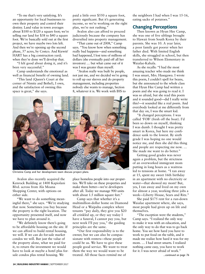"To me that's very satisfying. It's an opportunity for local businesses to own their property and control their destiny. Land value in town averages about \$100 to \$120 a square foot; we're selling our land for \$38 to \$40 a square foot. We're basically sold out at the first project, we have maybe two lots left. And then we're opening up the second phase, 57 acres, by Costco. And Kiewit/ HART has a big construction yard; when they're done we'll develop that.

"I felt good about doing it, and it's been very successful."

Camp understands the emotional as well as financial benefit of owning land.

"This land (Queen's Court at the corner of Nimitz and Bethel), I own, and the satisfaction of owning this space is great," she says.

paid a little over \$550 a square foot, pretty significant. But it's generating income, so we're working on the right plan, we're not rushing."

Avalon also can afford to proceed judiciously because the company has diversified into property management.

"That came out of 2008," Camp says. "You know how when something really bad happens—and something bad happened, I lost tens of millions of dollars (she eventually paid off all her investors) … but what came out of it was I was greater than myself.

"Avalon really was built by people, not just me, and we decided we're going to roll up our sleeves and do property management, including properties nobody else wants to manage, Section 8, whatever it is. We work with IHS to



Christine Camp and her development team discuss project plans.

Avalon also recently acquired the Kenrock Building at 1400 Kapiolani Blvd. across from Ala Moana Shopping Center, with options on either side.

"We want to do something meaningful there," she says. "We're studying that now. Sometimes you buy because the property is the right location. The opportunity presented itself, and now we have to plan around it.

"We definitely know there's going to be affordable housing on the site. If we can afford to build rental housing, we will. If we can do for-sale market condos we will. But just the value of the property alone, what we paid for it, to return the investment we would have to look at maybe a hotel plus forsale condos plus rental housing. We

place homeless people into our properties. We'll take on these properties and make them better—we're developers after all. Today we manage 900 units with about 1.5 million square feet."

Camp says that whether it's a multimillion-dollar home on Diamond Head or a Waipahu complex where tenants "pay daily, they give you \$20 all crinkled up, or they say today I have a funeral, I cannot pay you, but next week I'll pay you," the guiding principles are the same.

"Our first responsibility is to the owner, but we can also be compassionate with renters—these people could be us. We have to give these people good service. We want to treat them the way we would want to be treated. All those faces remind me of

the neighbors I had when I was 15-16, eating sacks of potatoes."

## **Changing Perceptions**

Then known as Hyun Hee Camp, she was one of five siblings brought to Hawaii from South Korea by their parents. She was 10. A year later, a poor family got poorer when her father died. With limited English skills, she struggled in school, but then transferred to Wilson Elementary in Waialae-Kahala.

As she recalls: "I had the most amazing teacher who made me think I was smart, Mrs. Hasegawa. I wrote this poem, I couldn't spell for beans, but she announced to the whole class that Hyun Hee Camp had written a poem and she was going to read it. I was so afraid, but she read this poem and it sounded good—did I really write this?—it sounded like a real poem. And everybody looked at me differently from that day on, I was the smart kid.

"It changed perceptions. I was called 'FOB' (fresh off the boat). I'd been so down on myself, thinking I was dumb. I thought I was pretty smart in Korea, but here my confidence sank to the lowest. By sixth grade I was hoping no one would notice me, and then she did this thing and people are respecting me now. … She made me want to do better."

Getting good grades was never again a problem, but the strictness of an overworked immigrant mom putting in long hours as a waitress led to tensions at home. "I ran away at 15, spent my sweet 16th birthday in an apartment with no electricity or water—that showed my mom! But, yes, I ran away and lived on my own for almost a year, working three jobs a week—Liberty House, Sears and Ritz."

She paid \$175 rent for a run-down Waialae apartment where, she says, most people had given up on life and themselves.

"The exception were the students," Camp says. "I realized the only way to make it was with an education, and the only way to do that was to go back home. You see how hard you have to work to put food on the table, and it made me realize how hard it was for my mom. … I had street smarts. I realized nothing came easy, you have to work for it. I was never afraid of work."